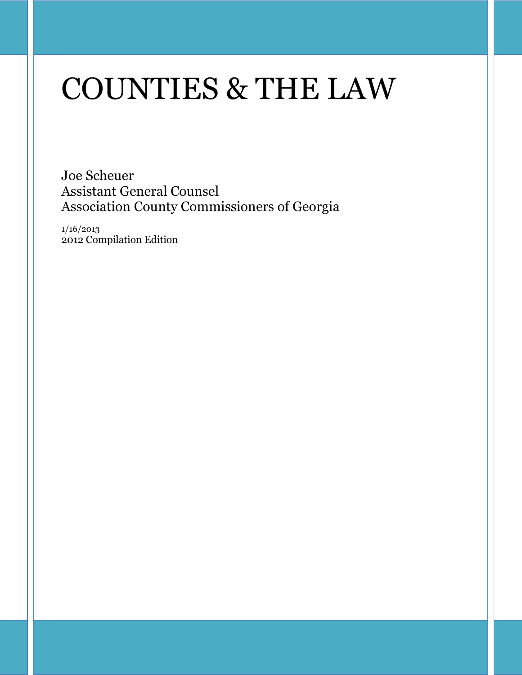# COUNTIES & THE LAW

Joe Scheuer Assistant General Counsel Association County Commissioners of Georgia

1/16/2013 2012 Compilation Edition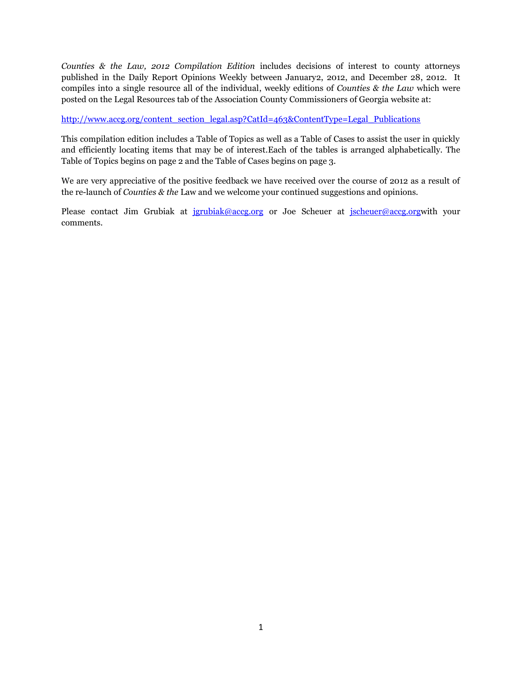*Counties & the Law, 2012 Compilation Edition* includes decisions of interest to county attorneys published in the Daily Report Opinions Weekly between January2, 2012, and December 28, 2012. It compiles into a single resource all of the individual, weekly editions of *Counties & the Law* which were posted on the Legal Resources tab of the Association County Commissioners of Georgia website at:

[http://www.accg.org/content\\_section\\_legal.asp?CatId=463&ContentType=Legal\\_Publications](http://www.accg.org/content_section_legal.asp?CatId=463&ContentType=Legal_Publications)

This compilation edition includes a Table of Topics as well as a Table of Cases to assist the user in quickly and efficiently locating items that may be of interest.Each of the tables is arranged alphabetically. The Table of Topics begins on page 2 and the Table of Cases begins on page 3.

We are very appreciative of the positive feedback we have received over the course of 2012 as a result of the re-launch of *Counties & the* Law and we welcome your continued suggestions and opinions.

Please contact Jim Grubiak at [jgrubiak@accg.org](mailto:jgrubiak@accg.org) or Joe Scheuer at [jscheuer@accg.orgw](mailto:jscheuer@accg.org)ith your comments.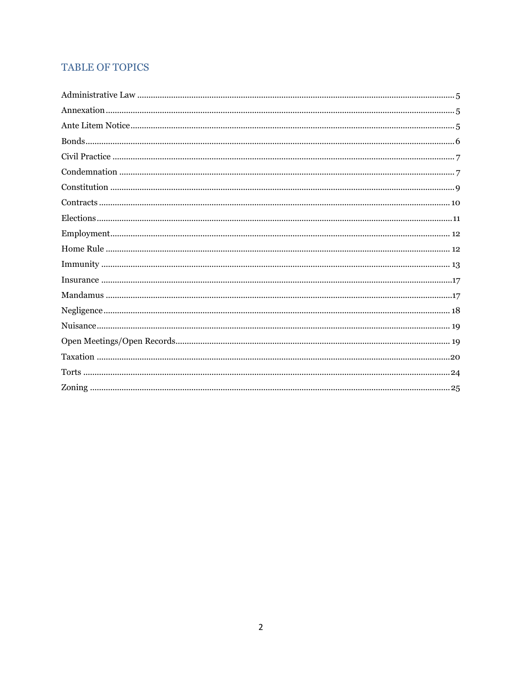# **TABLE OF TOPICS**

| $Elections. 111$ |  |
|------------------|--|
|                  |  |
|                  |  |
|                  |  |
|                  |  |
|                  |  |
|                  |  |
|                  |  |
|                  |  |
|                  |  |
|                  |  |
|                  |  |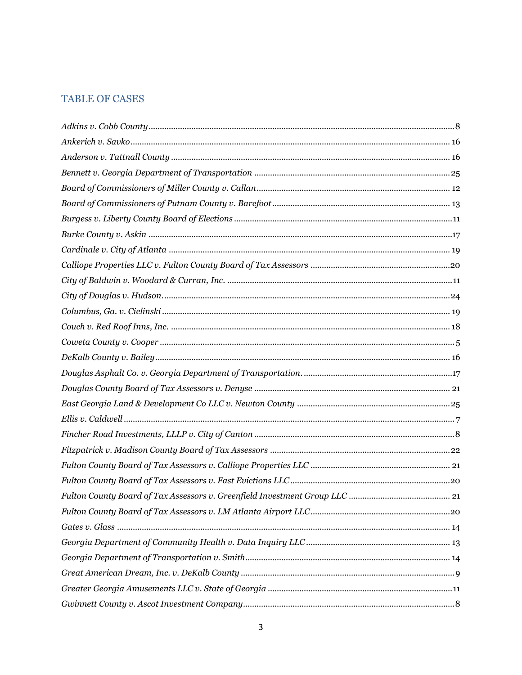# **TABLE OF CASES**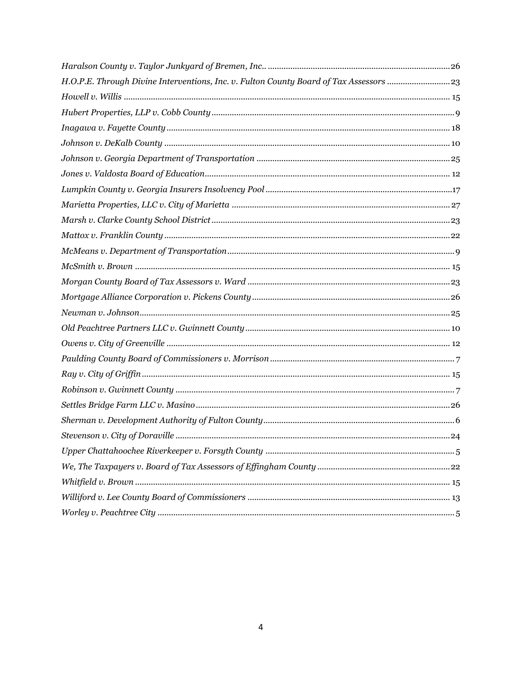| H.O.P.E. Through Divine Interventions, Inc. v. Fulton County Board of Tax Assessors 23 |  |
|----------------------------------------------------------------------------------------|--|
|                                                                                        |  |
|                                                                                        |  |
|                                                                                        |  |
|                                                                                        |  |
|                                                                                        |  |
|                                                                                        |  |
|                                                                                        |  |
|                                                                                        |  |
|                                                                                        |  |
|                                                                                        |  |
|                                                                                        |  |
|                                                                                        |  |
|                                                                                        |  |
|                                                                                        |  |
|                                                                                        |  |
|                                                                                        |  |
|                                                                                        |  |
|                                                                                        |  |
|                                                                                        |  |
|                                                                                        |  |
|                                                                                        |  |
|                                                                                        |  |
|                                                                                        |  |
|                                                                                        |  |
|                                                                                        |  |
|                                                                                        |  |
|                                                                                        |  |
|                                                                                        |  |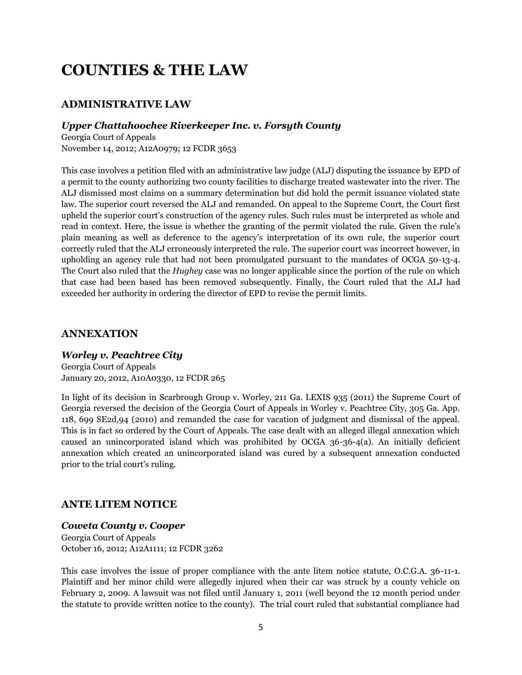# **COUNTIES & THE LAW**

# **ADMINISTRATIVE LAW**

#### *Upper Chattahoochee Riverkeeper Inc. v. Forsyth County*

Georgia Court of Appeals November 14, 2012; A12A0979; 12 FCDR 3653

This case involves a petition filed with an administrative law judge (ALJ) disputing the issuance by EPD of a permit to the county authorizing two county facilities to discharge treated wastewater into the river. The ALJ dismissed most claims on a summary determination but did hold the permit issuance violated state law. The superior court reversed the ALJ and remanded. On appeal to the Supreme Court, the Court first upheld the superior court"s construction of the agency rules. Such rules must be interpreted as whole and read in context. Here, the issue is whether the granting of the permit violated the rule. Given the rule"s plain meaning as well as deference to the agency"s interpretation of its own rule, the superior court correctly ruled that the ALJ erroneously interpreted the rule. The superior court was incorrect however, in upholding an agency rule that had not been promulgated pursuant to the mandates of OCGA 50-13-4. The Court also ruled that the *Hughey* case was no longer applicable since the portion of the rule on which that case had been based has been removed subsequently. Finally, the Court ruled that the ALJ had exceeded her authority in ordering the director of EPD to revise the permit limits.

#### **ANNEXATION**

#### *Worley v. Peachtree City*

Georgia Court of Appeals January 20, 2012, A10A0330, 12 FCDR 265

In light of its decision in Scarbrough Group v. Worley, 211 Ga. LEXIS 935 (2011) the Supreme Court of Georgia reversed the decision of the Georgia Court of Appeals in Worley v. Peachtree City, 305 Ga. App. 118, 699 SE2d,94 (2010) and remanded the case for vacation of judgment and dismissal of the appeal. This is in fact so ordered by the Court of Appeals. The case dealt with an alleged illegal annexation which caused an unincorporated island which was prohibited by OCGA 36-36-4(a). An initially deficient annexation which created an unincorporated island was cured by a subsequent annexation conducted prior to the trial court's ruling.

# **ANTE LITEM NOTICE**

#### *Coweta County v. Cooper*

Georgia Court of Appeals October 16, 2012; A12A1111; 12 FCDR 3262

This case involves the issue of proper compliance with the ante litem notice statute, O.C.G.A. 36-11-1. Plaintiff and her minor child were allegedly injured when their car was struck by a county vehicle on February 2, 2009. A lawsuit was not filed until January 1, 2011 (well beyond the 12 month period under the statute to provide written notice to the county). The trial court ruled that substantial compliance had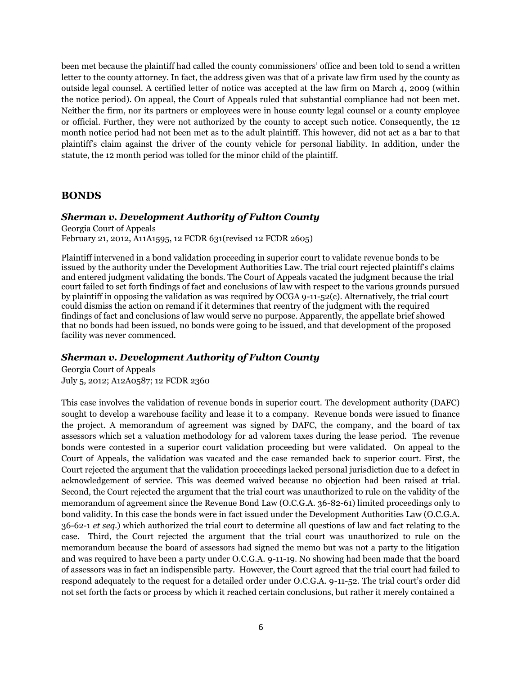been met because the plaintiff had called the county commissioners" office and been told to send a written letter to the county attorney. In fact, the address given was that of a private law firm used by the county as outside legal counsel. A certified letter of notice was accepted at the law firm on March 4, 2009 (within the notice period). On appeal, the Court of Appeals ruled that substantial compliance had not been met. Neither the firm, nor its partners or employees were in house county legal counsel or a county employee or official. Further, they were not authorized by the county to accept such notice. Consequently, the 12 month notice period had not been met as to the adult plaintiff. This however, did not act as a bar to that plaintiff"s claim against the driver of the county vehicle for personal liability. In addition, under the statute, the 12 month period was tolled for the minor child of the plaintiff.

#### **BONDS**

#### *Sherman v. Development Authority of Fulton County*

Georgia Court of Appeals February 21, 2012, A11A1595, 12 FCDR 631(revised 12 FCDR 2605)

Plaintiff intervened in a bond validation proceeding in superior court to validate revenue bonds to be issued by the authority under the Development Authorities Law. The trial court rejected plaintiff"s claims and entered judgment validating the bonds. The Court of Appeals vacated the judgment because the trial court failed to set forth findings of fact and conclusions of law with respect to the various grounds pursued by plaintiff in opposing the validation as was required by OCGA 9-11-52(c). Alternatively, the trial court could dismiss the action on remand if it determines that reentry of the judgment with the required findings of fact and conclusions of law would serve no purpose. Apparently, the appellate brief showed that no bonds had been issued, no bonds were going to be issued, and that development of the proposed facility was never commenced.

#### *Sherman v. Development Authority of Fulton County*

Georgia Court of Appeals July 5, 2012; A12A0587; 12 FCDR 2360

This case involves the validation of revenue bonds in superior court. The development authority (DAFC) sought to develop a warehouse facility and lease it to a company. Revenue bonds were issued to finance the project. A memorandum of agreement was signed by DAFC, the company, and the board of tax assessors which set a valuation methodology for ad valorem taxes during the lease period. The revenue bonds were contested in a superior court validation proceeding but were validated. On appeal to the Court of Appeals, the validation was vacated and the case remanded back to superior court. First, the Court rejected the argument that the validation proceedings lacked personal jurisdiction due to a defect in acknowledgement of service. This was deemed waived because no objection had been raised at trial. Second, the Court rejected the argument that the trial court was unauthorized to rule on the validity of the memorandum of agreement since the Revenue Bond Law (O.C.G.A. 36-82-61) limited proceedings only to bond validity. In this case the bonds were in fact issued under the Development Authorities Law (O.C.G.A. 36-62-1 *et seq.*) which authorized the trial court to determine all questions of law and fact relating to the case. Third, the Court rejected the argument that the trial court was unauthorized to rule on the memorandum because the board of assessors had signed the memo but was not a party to the litigation and was required to have been a party under O.C.G.A. 9-11-19. No showing had been made that the board of assessors was in fact an indispensible party. However, the Court agreed that the trial court had failed to respond adequately to the request for a detailed order under O.C.G.A. 9-11-52. The trial court's order did not set forth the facts or process by which it reached certain conclusions, but rather it merely contained a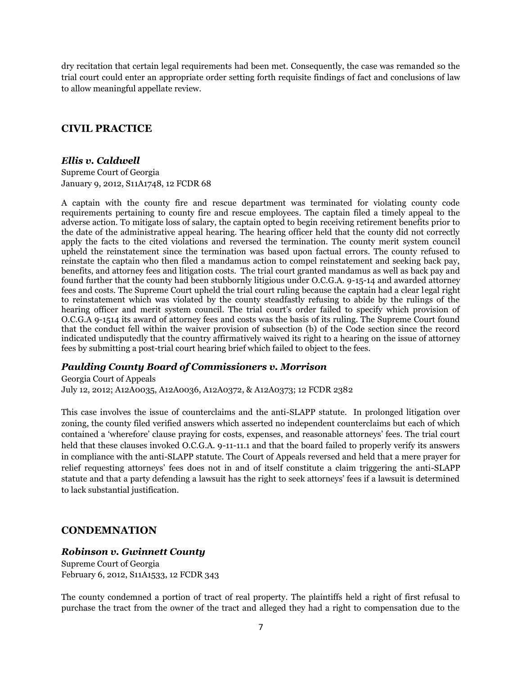dry recitation that certain legal requirements had been met. Consequently, the case was remanded so the trial court could enter an appropriate order setting forth requisite findings of fact and conclusions of law to allow meaningful appellate review.

# **CIVIL PRACTICE**

#### *Ellis v. Caldwell*

Supreme Court of Georgia January 9, 2012, S11A1748, 12 FCDR 68

A captain with the county fire and rescue department was terminated for violating county code requirements pertaining to county fire and rescue employees. The captain filed a timely appeal to the adverse action. To mitigate loss of salary, the captain opted to begin receiving retirement benefits prior to the date of the administrative appeal hearing. The hearing officer held that the county did not correctly apply the facts to the cited violations and reversed the termination. The county merit system council upheld the reinstatement since the termination was based upon factual errors. The county refused to reinstate the captain who then filed a mandamus action to compel reinstatement and seeking back pay, benefits, and attorney fees and litigation costs. The trial court granted mandamus as well as back pay and found further that the county had been stubbornly litigious under O.C.G.A. 9-15-14 and awarded attorney fees and costs. The Supreme Court upheld the trial court ruling because the captain had a clear legal right to reinstatement which was violated by the county steadfastly refusing to abide by the rulings of the hearing officer and merit system council. The trial court's order failed to specify which provision of O.C.G.A 9-1514 its award of attorney fees and costs was the basis of its ruling. The Supreme Court found that the conduct fell within the waiver provision of subsection (b) of the Code section since the record indicated undisputedly that the country affirmatively waived its right to a hearing on the issue of attorney fees by submitting a post-trial court hearing brief which failed to object to the fees.

# *Paulding County Board of Commissioners v. Morrison*

Georgia Court of Appeals July 12, 2012; A12A0035, A12A0036, A12A0372, & A12A0373; 12 FCDR 2382

This case involves the issue of counterclaims and the anti-SLAPP statute. In prolonged litigation over zoning, the county filed verified answers which asserted no independent counterclaims but each of which contained a "wherefore" clause praying for costs, expenses, and reasonable attorneys" fees. The trial court held that these clauses invoked O.C.G.A. 9-11-11.1 and that the board failed to properly verify its answers in compliance with the anti-SLAPP statute. The Court of Appeals reversed and held that a mere prayer for relief requesting attorneys" fees does not in and of itself constitute a claim triggering the anti-SLAPP statute and that a party defending a lawsuit has the right to seek attorneys" fees if a lawsuit is determined to lack substantial justification.

# **CONDEMNATION**

#### *Robinson v. Gwinnett County*

Supreme Court of Georgia February 6, 2012, S11A1533, 12 FCDR 343

The county condemned a portion of tract of real property. The plaintiffs held a right of first refusal to purchase the tract from the owner of the tract and alleged they had a right to compensation due to the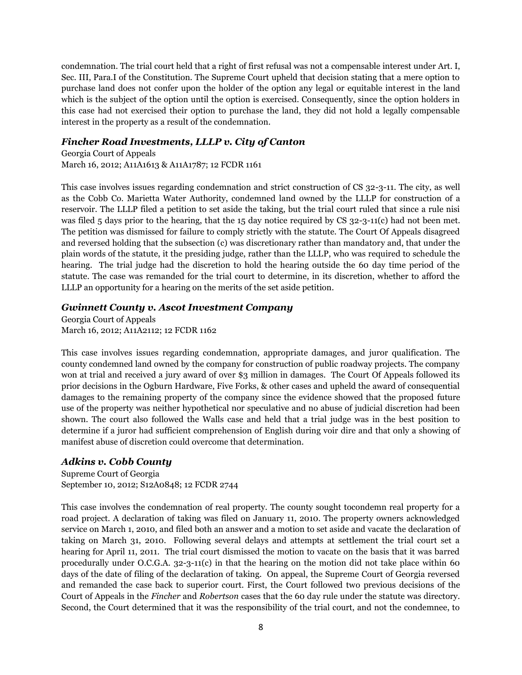condemnation. The trial court held that a right of first refusal was not a compensable interest under Art. I, Sec. III, Para.I of the Constitution. The Supreme Court upheld that decision stating that a mere option to purchase land does not confer upon the holder of the option any legal or equitable interest in the land which is the subject of the option until the option is exercised. Consequently, since the option holders in this case had not exercised their option to purchase the land, they did not hold a legally compensable interest in the property as a result of the condemnation.

#### *Fincher Road Investments, LLLP v. City of Canton*

Georgia Court of Appeals March 16, 2012; A11A1613 & A11A1787; 12 FCDR 1161

This case involves issues regarding condemnation and strict construction of CS 32-3-11. The city, as well as the Cobb Co. Marietta Water Authority, condemned land owned by the LLLP for construction of a reservoir. The LLLP filed a petition to set aside the taking, but the trial court ruled that since a rule nisi was filed 5 days prior to the hearing, that the 15 day notice required by CS 32-3-11(c) had not been met. The petition was dismissed for failure to comply strictly with the statute. The Court Of Appeals disagreed and reversed holding that the subsection (c) was discretionary rather than mandatory and, that under the plain words of the statute, it the presiding judge, rather than the LLLP, who was required to schedule the hearing. The trial judge had the discretion to hold the hearing outside the 60 day time period of the statute. The case was remanded for the trial court to determine, in its discretion, whether to afford the LLLP an opportunity for a hearing on the merits of the set aside petition.

#### *Gwinnett County v. Ascot Investment Company*

Georgia Court of Appeals March 16, 2012; A11A2112; 12 FCDR 1162

This case involves issues regarding condemnation, appropriate damages, and juror qualification. The county condemned land owned by the company for construction of public roadway projects. The company won at trial and received a jury award of over \$3 million in damages. The Court Of Appeals followed its prior decisions in the Ogburn Hardware, Five Forks, & other cases and upheld the award of consequential damages to the remaining property of the company since the evidence showed that the proposed future use of the property was neither hypothetical nor speculative and no abuse of judicial discretion had been shown. The court also followed the Walls case and held that a trial judge was in the best position to determine if a juror had sufficient comprehension of English during voir dire and that only a showing of manifest abuse of discretion could overcome that determination.

# *Adkins v. Cobb County*

Supreme Court of Georgia September 10, 2012; S12A0848; 12 FCDR 2744

This case involves the condemnation of real property. The county sought tocondemn real property for a road project. A declaration of taking was filed on January 11, 2010. The property owners acknowledged service on March 1, 2010, and filed both an answer and a motion to set aside and vacate the declaration of taking on March 31, 2010. Following several delays and attempts at settlement the trial court set a hearing for April 11, 2011. The trial court dismissed the motion to vacate on the basis that it was barred procedurally under O.C.G.A. 32-3-11(c) in that the hearing on the motion did not take place within 60 days of the date of filing of the declaration of taking. On appeal, the Supreme Court of Georgia reversed and remanded the case back to superior court. First, the Court followed two previous decisions of the Court of Appeals in the *Fincher* and *Robertson* cases that the 60 day rule under the statute was directory. Second, the Court determined that it was the responsibility of the trial court, and not the condemnee, to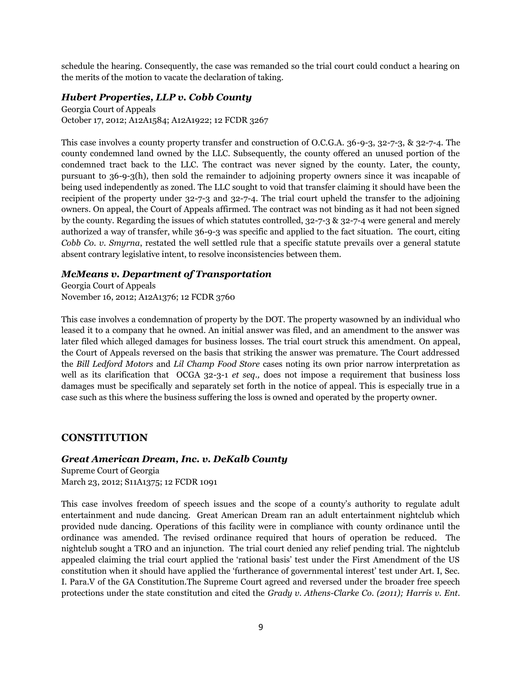schedule the hearing. Consequently, the case was remanded so the trial court could conduct a hearing on the merits of the motion to vacate the declaration of taking.

#### *Hubert Properties, LLP v. Cobb County*

Georgia Court of Appeals October 17, 2012; A12A1584; A12A1922; 12 FCDR 3267

This case involves a county property transfer and construction of O.C.G.A. 36-9-3, 32-7-3, & 32-7-4. The county condemned land owned by the LLC. Subsequently, the county offered an unused portion of the condemned tract back to the LLC. The contract was never signed by the county. Later, the county, pursuant to 36-9-3(h), then sold the remainder to adjoining property owners since it was incapable of being used independently as zoned. The LLC sought to void that transfer claiming it should have been the recipient of the property under 32-7-3 and 32-7-4. The trial court upheld the transfer to the adjoining owners. On appeal, the Court of Appeals affirmed. The contract was not binding as it had not been signed by the county. Regarding the issues of which statutes controlled, 32-7-3 & 32-7-4 were general and merely authorized a way of transfer, while 36-9-3 was specific and applied to the fact situation. The court, citing *Cobb Co. v. Smyrna*, restated the well settled rule that a specific statute prevails over a general statute absent contrary legislative intent, to resolve inconsistencies between them.

# *McMeans v. Department of Transportation*

Georgia Court of Appeals November 16, 2012; A12A1376; 12 FCDR 3760

This case involves a condemnation of property by the DOT. The property wasowned by an individual who leased it to a company that he owned. An initial answer was filed, and an amendment to the answer was later filed which alleged damages for business losses. The trial court struck this amendment. On appeal, the Court of Appeals reversed on the basis that striking the answer was premature. The Court addressed the *Bill Ledford Motors* and *Lil Champ Food Store* cases noting its own prior narrow interpretation as well as its clarification that OCGA 32-3-1 *et seq.,* does not impose a requirement that business loss damages must be specifically and separately set forth in the notice of appeal. This is especially true in a case such as this where the business suffering the loss is owned and operated by the property owner.

# **CONSTITUTION**

*Great American Dream, Inc. v. DeKalb County*

Supreme Court of Georgia March 23, 2012; S11A1375; 12 FCDR 1091

This case involves freedom of speech issues and the scope of a county"s authority to regulate adult entertainment and nude dancing. Great American Dream ran an adult entertainment nightclub which provided nude dancing. Operations of this facility were in compliance with county ordinance until the ordinance was amended. The revised ordinance required that hours of operation be reduced. The nightclub sought a TRO and an injunction. The trial court denied any relief pending trial. The nightclub appealed claiming the trial court applied the "rational basis" test under the First Amendment of the US constitution when it should have applied the "furtherance of governmental interest" test under Art. I, Sec. I. Para.V of the GA Constitution.The Supreme Court agreed and reversed under the broader free speech protections under the state constitution and cited the *Grady v. Athens-Clarke Co. (2011); Harris v. Ent.*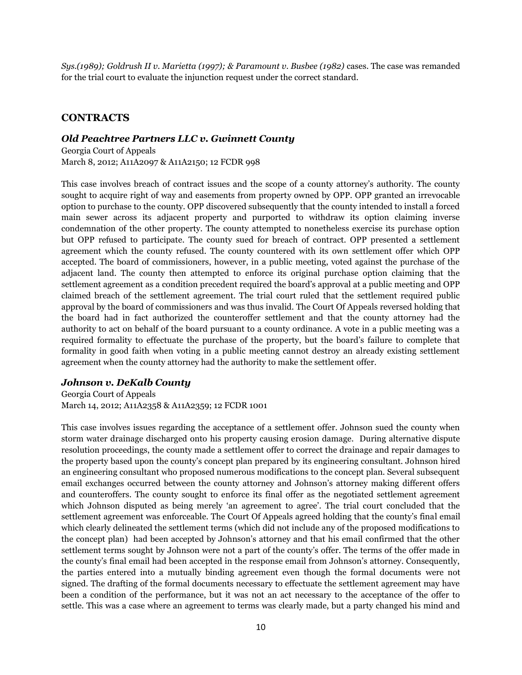*Sys.(1989); Goldrush II v. Marietta (1997); & Paramount v. Busbee (1982)* cases. The case was remanded for the trial court to evaluate the injunction request under the correct standard.

# **CONTRACTS**

#### *Old Peachtree Partners LLC v. Gwinnett County*

Georgia Court of Appeals March 8, 2012; A11A2097 & A11A2150; 12 FCDR 998

This case involves breach of contract issues and the scope of a county attorney"s authority. The county sought to acquire right of way and easements from property owned by OPP. OPP granted an irrevocable option to purchase to the county. OPP discovered subsequently that the county intended to install a forced main sewer across its adjacent property and purported to withdraw its option claiming inverse condemnation of the other property. The county attempted to nonetheless exercise its purchase option but OPP refused to participate. The county sued for breach of contract. OPP presented a settlement agreement which the county refused. The county countered with its own settlement offer which OPP accepted. The board of commissioners, however, in a public meeting, voted against the purchase of the adjacent land. The county then attempted to enforce its original purchase option claiming that the settlement agreement as a condition precedent required the board"s approval at a public meeting and OPP claimed breach of the settlement agreement. The trial court ruled that the settlement required public approval by the board of commissioners and was thus invalid. The Court Of Appeals reversed holding that the board had in fact authorized the counteroffer settlement and that the county attorney had the authority to act on behalf of the board pursuant to a county ordinance. A vote in a public meeting was a required formality to effectuate the purchase of the property, but the board"s failure to complete that formality in good faith when voting in a public meeting cannot destroy an already existing settlement agreement when the county attorney had the authority to make the settlement offer.

#### *Johnson v. DeKalb County*

Georgia Court of Appeals March 14, 2012; A11A2358 & A11A2359; 12 FCDR 1001

This case involves issues regarding the acceptance of a settlement offer. Johnson sued the county when storm water drainage discharged onto his property causing erosion damage. During alternative dispute resolution proceedings, the county made a settlement offer to correct the drainage and repair damages to the property based upon the county"s concept plan prepared by its engineering consultant. Johnson hired an engineering consultant who proposed numerous modifications to the concept plan. Several subsequent email exchanges occurred between the county attorney and Johnson"s attorney making different offers and counteroffers. The county sought to enforce its final offer as the negotiated settlement agreement which Johnson disputed as being merely "an agreement to agree". The trial court concluded that the settlement agreement was enforceable. The Court Of Appeals agreed holding that the county's final email which clearly delineated the settlement terms (which did not include any of the proposed modifications to the concept plan) had been accepted by Johnson's attorney and that his email confirmed that the other settlement terms sought by Johnson were not a part of the county's offer. The terms of the offer made in the county"s final email had been accepted in the response email from Johnson"s attorney. Consequently, the parties entered into a mutually binding agreement even though the formal documents were not signed. The drafting of the formal documents necessary to effectuate the settlement agreement may have been a condition of the performance, but it was not an act necessary to the acceptance of the offer to settle. This was a case where an agreement to terms was clearly made, but a party changed his mind and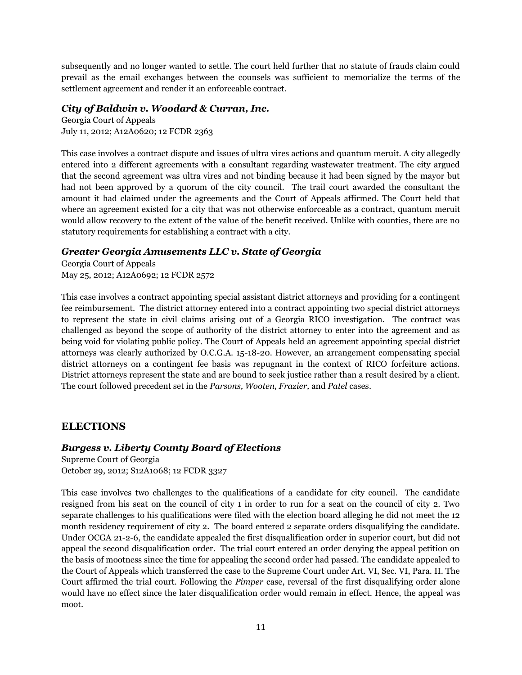subsequently and no longer wanted to settle. The court held further that no statute of frauds claim could prevail as the email exchanges between the counsels was sufficient to memorialize the terms of the settlement agreement and render it an enforceable contract.

#### *City of Baldwin v. Woodard & Curran, Inc.*

Georgia Court of Appeals July 11, 2012; A12A0620; 12 FCDR 2363

This case involves a contract dispute and issues of ultra vires actions and quantum meruit. A city allegedly entered into 2 different agreements with a consultant regarding wastewater treatment. The city argued that the second agreement was ultra vires and not binding because it had been signed by the mayor but had not been approved by a quorum of the city council. The trail court awarded the consultant the amount it had claimed under the agreements and the Court of Appeals affirmed. The Court held that where an agreement existed for a city that was not otherwise enforceable as a contract, quantum meruit would allow recovery to the extent of the value of the benefit received. Unlike with counties, there are no statutory requirements for establishing a contract with a city.

# *Greater Georgia Amusements LLC v. State of Georgia*

Georgia Court of Appeals May 25, 2012; A12A0692; 12 FCDR 2572

This case involves a contract appointing special assistant district attorneys and providing for a contingent fee reimbursement. The district attorney entered into a contract appointing two special district attorneys to represent the state in civil claims arising out of a Georgia RICO investigation. The contract was challenged as beyond the scope of authority of the district attorney to enter into the agreement and as being void for violating public policy. The Court of Appeals held an agreement appointing special district attorneys was clearly authorized by O.C.G.A. 15-18-20. However, an arrangement compensating special district attorneys on a contingent fee basis was repugnant in the context of RICO forfeiture actions. District attorneys represent the state and are bound to seek justice rather than a result desired by a client. The court followed precedent set in the *Parsons, Wooten, Frazier,* and *Patel* cases.

# **ELECTIONS**

# *Burgess v. Liberty County Board of Elections*

Supreme Court of Georgia October 29, 2012; S12A1068; 12 FCDR 3327

This case involves two challenges to the qualifications of a candidate for city council. The candidate resigned from his seat on the council of city 1 in order to run for a seat on the council of city 2. Two separate challenges to his qualifications were filed with the election board alleging he did not meet the 12 month residency requirement of city 2. The board entered 2 separate orders disqualifying the candidate. Under OCGA 21-2-6, the candidate appealed the first disqualification order in superior court, but did not appeal the second disqualification order. The trial court entered an order denying the appeal petition on the basis of mootness since the time for appealing the second order had passed. The candidate appealed to the Court of Appeals which transferred the case to the Supreme Court under Art. VI, Sec. VI, Para. II. The Court affirmed the trial court. Following the *Pimper* case, reversal of the first disqualifying order alone would have no effect since the later disqualification order would remain in effect. Hence, the appeal was moot.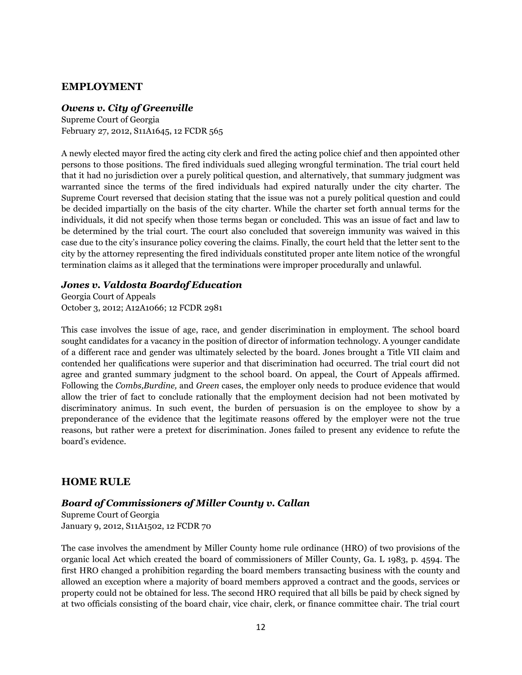#### **EMPLOYMENT**

#### *Owens v. City of Greenville*

Supreme Court of Georgia February 27, 2012, S11A1645, 12 FCDR 565

A newly elected mayor fired the acting city clerk and fired the acting police chief and then appointed other persons to those positions. The fired individuals sued alleging wrongful termination. The trial court held that it had no jurisdiction over a purely political question, and alternatively, that summary judgment was warranted since the terms of the fired individuals had expired naturally under the city charter. The Supreme Court reversed that decision stating that the issue was not a purely political question and could be decided impartially on the basis of the city charter. While the charter set forth annual terms for the individuals, it did not specify when those terms began or concluded. This was an issue of fact and law to be determined by the trial court. The court also concluded that sovereign immunity was waived in this case due to the city"s insurance policy covering the claims. Finally, the court held that the letter sent to the city by the attorney representing the fired individuals constituted proper ante litem notice of the wrongful termination claims as it alleged that the terminations were improper procedurally and unlawful.

#### *Jones v. Valdosta Boardof Education*

Georgia Court of Appeals October 3, 2012; A12A1066; 12 FCDR 2981

This case involves the issue of age, race, and gender discrimination in employment. The school board sought candidates for a vacancy in the position of director of information technology. A younger candidate of a different race and gender was ultimately selected by the board. Jones brought a Title VII claim and contended her qualifications were superior and that discrimination had occurred. The trial court did not agree and granted summary judgment to the school board. On appeal, the Court of Appeals affirmed. Following the *Combs,Burdine,* and *Green* cases, the employer only needs to produce evidence that would allow the trier of fact to conclude rationally that the employment decision had not been motivated by discriminatory animus. In such event, the burden of persuasion is on the employee to show by a preponderance of the evidence that the legitimate reasons offered by the employer were not the true reasons, but rather were a pretext for discrimination. Jones failed to present any evidence to refute the board"s evidence.

#### **HOME RULE**

#### *Board of Commissioners of Miller County v. Callan*

Supreme Court of Georgia January 9, 2012, S11A1502, 12 FCDR 70

The case involves the amendment by Miller County home rule ordinance (HRO) of two provisions of the organic local Act which created the board of commissioners of Miller County, Ga. L 1983, p. 4594. The first HRO changed a prohibition regarding the board members transacting business with the county and allowed an exception where a majority of board members approved a contract and the goods, services or property could not be obtained for less. The second HRO required that all bills be paid by check signed by at two officials consisting of the board chair, vice chair, clerk, or finance committee chair. The trial court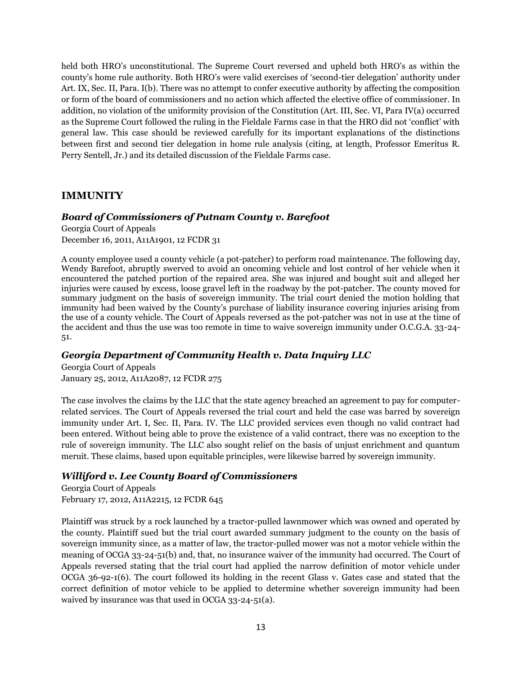held both HRO's unconstitutional. The Supreme Court reversed and upheld both HRO's as within the county"s home rule authority. Both HRO"s were valid exercises of "second-tier delegation" authority under Art. IX, Sec. II, Para. I(b). There was no attempt to confer executive authority by affecting the composition or form of the board of commissioners and no action which affected the elective office of commissioner. In addition, no violation of the uniformity provision of the Constitution (Art. III, Sec. VI, Para IV(a) occurred as the Supreme Court followed the ruling in the Fieldale Farms case in that the HRO did not "conflict" with general law. This case should be reviewed carefully for its important explanations of the distinctions between first and second tier delegation in home rule analysis (citing, at length, Professor Emeritus R. Perry Sentell, Jr.) and its detailed discussion of the Fieldale Farms case.

# **IMMUNITY**

#### *Board of Commissioners of Putnam County v. Barefoot*

Georgia Court of Appeals December 16, 2011, A11A1901, 12 FCDR 31

A county employee used a county vehicle (a pot-patcher) to perform road maintenance. The following day, Wendy Barefoot, abruptly swerved to avoid an oncoming vehicle and lost control of her vehicle when it encountered the patched portion of the repaired area. She was injured and bought suit and alleged her injuries were caused by excess, loose gravel left in the roadway by the pot-patcher. The county moved for summary judgment on the basis of sovereign immunity. The trial court denied the motion holding that immunity had been waived by the County"s purchase of liability insurance covering injuries arising from the use of a county vehicle. The Court of Appeals reversed as the pot-patcher was not in use at the time of the accident and thus the use was too remote in time to waive sovereign immunity under O.C.G.A. 33-24- 51.

# *Georgia Department of Community Health v. Data Inquiry LLC*

Georgia Court of Appeals January 25, 2012, A11A2087, 12 FCDR 275

The case involves the claims by the LLC that the state agency breached an agreement to pay for computerrelated services. The Court of Appeals reversed the trial court and held the case was barred by sovereign immunity under Art. I, Sec. II, Para. IV. The LLC provided services even though no valid contract had been entered. Without being able to prove the existence of a valid contract, there was no exception to the rule of sovereign immunity. The LLC also sought relief on the basis of unjust enrichment and quantum meruit. These claims, based upon equitable principles, were likewise barred by sovereign immunity.

# *Williford v. Lee County Board of Commissioners*

Georgia Court of Appeals February 17, 2012, A11A2215, 12 FCDR 645

Plaintiff was struck by a rock launched by a tractor-pulled lawnmower which was owned and operated by the county. Plaintiff sued but the trial court awarded summary judgment to the county on the basis of sovereign immunity since, as a matter of law, the tractor-pulled mower was not a motor vehicle within the meaning of OCGA 33-24-51(b) and, that, no insurance waiver of the immunity had occurred. The Court of Appeals reversed stating that the trial court had applied the narrow definition of motor vehicle under OCGA 36-92-1(6). The court followed its holding in the recent Glass v. Gates case and stated that the correct definition of motor vehicle to be applied to determine whether sovereign immunity had been waived by insurance was that used in OCGA 33-24-51(a).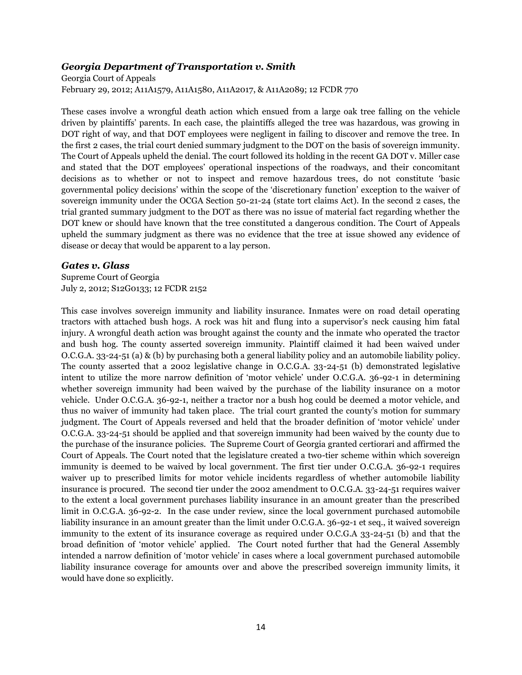#### *Georgia Department of Transportation v. Smith*

Georgia Court of Appeals February 29, 2012; A11A1579, A11A1580, A11A2017, & A11A2089; 12 FCDR 770

These cases involve a wrongful death action which ensued from a large oak tree falling on the vehicle driven by plaintiffs" parents. In each case, the plaintiffs alleged the tree was hazardous, was growing in DOT right of way, and that DOT employees were negligent in failing to discover and remove the tree. In the first 2 cases, the trial court denied summary judgment to the DOT on the basis of sovereign immunity. The Court of Appeals upheld the denial. The court followed its holding in the recent GA DOT v. Miller case and stated that the DOT employees" operational inspections of the roadways, and their concomitant decisions as to whether or not to inspect and remove hazardous trees, do not constitute "basic governmental policy decisions" within the scope of the "discretionary function" exception to the waiver of sovereign immunity under the OCGA Section 50-21-24 (state tort claims Act). In the second 2 cases, the trial granted summary judgment to the DOT as there was no issue of material fact regarding whether the DOT knew or should have known that the tree constituted a dangerous condition. The Court of Appeals upheld the summary judgment as there was no evidence that the tree at issue showed any evidence of disease or decay that would be apparent to a lay person.

#### *Gates v. Glass*

Supreme Court of Georgia July 2, 2012; S12G0133; 12 FCDR 2152

This case involves sovereign immunity and liability insurance. Inmates were on road detail operating tractors with attached bush hogs. A rock was hit and flung into a supervisor"s neck causing him fatal injury. A wrongful death action was brought against the county and the inmate who operated the tractor and bush hog. The county asserted sovereign immunity. Plaintiff claimed it had been waived under O.C.G.A. 33-24-51 (a) & (b) by purchasing both a general liability policy and an automobile liability policy. The county asserted that a 2002 legislative change in O.C.G.A. 33-24-51 (b) demonstrated legislative intent to utilize the more narrow definition of "motor vehicle" under O.C.G.A. 36-92-1 in determining whether sovereign immunity had been waived by the purchase of the liability insurance on a motor vehicle. Under O.C.G.A. 36-92-1, neither a tractor nor a bush hog could be deemed a motor vehicle, and thus no waiver of immunity had taken place. The trial court granted the county"s motion for summary judgment. The Court of Appeals reversed and held that the broader definition of 'motor vehicle' under O.C.G.A. 33-24-51 should be applied and that sovereign immunity had been waived by the county due to the purchase of the insurance policies. The Supreme Court of Georgia granted certiorari and affirmed the Court of Appeals. The Court noted that the legislature created a two-tier scheme within which sovereign immunity is deemed to be waived by local government. The first tier under O.C.G.A. 36-92-1 requires waiver up to prescribed limits for motor vehicle incidents regardless of whether automobile liability insurance is procured. The second tier under the 2002 amendment to O.C.G.A. 33-24-51 requires waiver to the extent a local government purchases liability insurance in an amount greater than the prescribed limit in O.C.G.A. 36-92-2. In the case under review, since the local government purchased automobile liability insurance in an amount greater than the limit under O.C.G.A. 36-92-1 et seq., it waived sovereign immunity to the extent of its insurance coverage as required under O.C.G.A 33-24-51 (b) and that the broad definition of "motor vehicle" applied. The Court noted further that had the General Assembly intended a narrow definition of "motor vehicle" in cases where a local government purchased automobile liability insurance coverage for amounts over and above the prescribed sovereign immunity limits, it would have done so explicitly.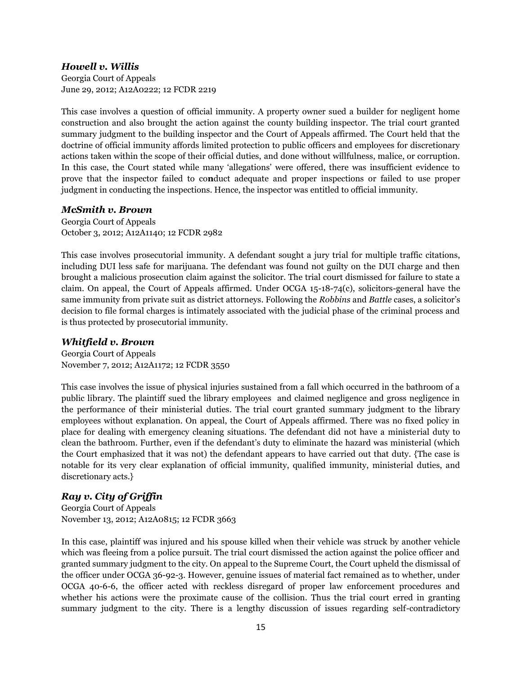#### *Howell v. Willis*

Georgia Court of Appeals June 29, 2012; A12A0222; 12 FCDR 2219

This case involves a question of official immunity. A property owner sued a builder for negligent home construction and also brought the action against the county building inspector. The trial court granted summary judgment to the building inspector and the Court of Appeals affirmed. The Court held that the doctrine of official immunity affords limited protection to public officers and employees for discretionary actions taken within the scope of their official duties, and done without willfulness, malice, or corruption. In this case, the Court stated while many "allegations" were offered, there was insufficient evidence to prove that the inspector failed to co**n**duct adequate and proper inspections or failed to use proper judgment in conducting the inspections. Hence, the inspector was entitled to official immunity.

#### *McSmith v. Brown*

Georgia Court of Appeals October 3, 2012; A12A1140; 12 FCDR 2982

This case involves prosecutorial immunity. A defendant sought a jury trial for multiple traffic citations, including DUI less safe for marijuana. The defendant was found not guilty on the DUI charge and then brought a malicious prosecution claim against the solicitor. The trial court dismissed for failure to state a claim. On appeal, the Court of Appeals affirmed. Under OCGA 15-18-74(c), solicitors-general have the same immunity from private suit as district attorneys. Following the *Robbins* and *Battle* cases, a solicitor"s decision to file formal charges is intimately associated with the judicial phase of the criminal process and is thus protected by prosecutorial immunity.

# *Whitfield v. Brown*

Georgia Court of Appeals November 7, 2012; A12A1172; 12 FCDR 3550

This case involves the issue of physical injuries sustained from a fall which occurred in the bathroom of a public library. The plaintiff sued the library employees and claimed negligence and gross negligence in the performance of their ministerial duties. The trial court granted summary judgment to the library employees without explanation. On appeal, the Court of Appeals affirmed. There was no fixed policy in place for dealing with emergency cleaning situations. The defendant did not have a ministerial duty to clean the bathroom. Further, even if the defendant"s duty to eliminate the hazard was ministerial (which the Court emphasized that it was not) the defendant appears to have carried out that duty. {The case is notable for its very clear explanation of official immunity, qualified immunity, ministerial duties, and discretionary acts.}

# *Ray v. City of Griffin*

Georgia Court of Appeals November 13, 2012; A12A0815; 12 FCDR 3663

In this case, plaintiff was injured and his spouse killed when their vehicle was struck by another vehicle which was fleeing from a police pursuit. The trial court dismissed the action against the police officer and granted summary judgment to the city. On appeal to the Supreme Court, the Court upheld the dismissal of the officer under OCGA 36-92-3. However, genuine issues of material fact remained as to whether, under OCGA 40-6-6, the officer acted with reckless disregard of proper law enforcement procedures and whether his actions were the proximate cause of the collision. Thus the trial court erred in granting summary judgment to the city. There is a lengthy discussion of issues regarding self-contradictory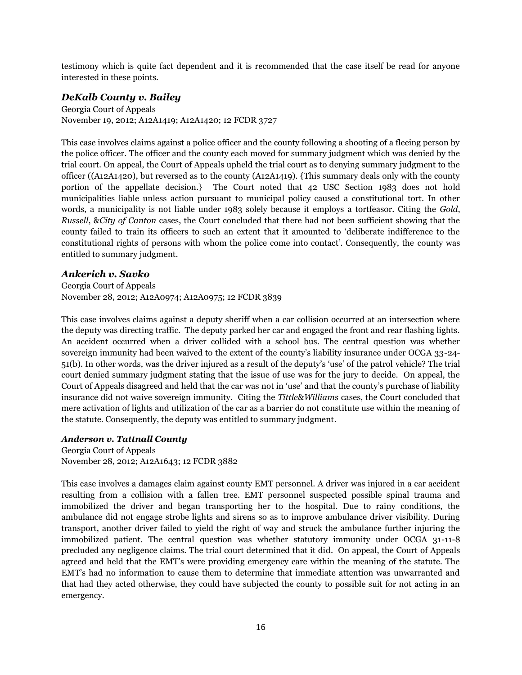testimony which is quite fact dependent and it is recommended that the case itself be read for anyone interested in these points.

#### *DeKalb County v. Bailey*

Georgia Court of Appeals November 19, 2012; A12A1419; A12A1420; 12 FCDR 3727

This case involves claims against a police officer and the county following a shooting of a fleeing person by the police officer. The officer and the county each moved for summary judgment which was denied by the trial court. On appeal, the Court of Appeals upheld the trial court as to denying summary judgment to the officer ((A12A1420), but reversed as to the county (A12A1419). {This summary deals only with the county portion of the appellate decision.} The Court noted that 42 USC Section 1983 does not hold municipalities liable unless action pursuant to municipal policy caused a constitutional tort. In other words, a municipality is not liable under 1983 solely because it employs a tortfeasor. Citing the *Gold*, *Russell*, &*City of Canton* cases, the Court concluded that there had not been sufficient showing that the county failed to train its officers to such an extent that it amounted to "deliberate indifference to the constitutional rights of persons with whom the police come into contact". Consequently, the county was entitled to summary judgment.

#### *Ankerich v. Savko*

Georgia Court of Appeals November 28, 2012; A12A0974; A12A0975; 12 FCDR 3839

This case involves claims against a deputy sheriff when a car collision occurred at an intersection where the deputy was directing traffic. The deputy parked her car and engaged the front and rear flashing lights. An accident occurred when a driver collided with a school bus. The central question was whether sovereign immunity had been waived to the extent of the county's liability insurance under OCGA 33-24-51(b). In other words, was the driver injured as a result of the deputy"s "use" of the patrol vehicle? The trial court denied summary judgment stating that the issue of use was for the jury to decide. On appeal, the Court of Appeals disagreed and held that the car was not in "use" and that the county"s purchase of liability insurance did not waive sovereign immunity. Citing the *Tittle*&*Williams* cases, the Court concluded that mere activation of lights and utilization of the car as a barrier do not constitute use within the meaning of the statute. Consequently, the deputy was entitled to summary judgment.

#### *Anderson v. Tattnall County*

Georgia Court of Appeals November 28, 2012; A12A1643; 12 FCDR 3882

This case involves a damages claim against county EMT personnel. A driver was injured in a car accident resulting from a collision with a fallen tree. EMT personnel suspected possible spinal trauma and immobilized the driver and began transporting her to the hospital. Due to rainy conditions, the ambulance did not engage strobe lights and sirens so as to improve ambulance driver visibility. During transport, another driver failed to yield the right of way and struck the ambulance further injuring the immobilized patient. The central question was whether statutory immunity under OCGA 31-11-8 precluded any negligence claims. The trial court determined that it did. On appeal, the Court of Appeals agreed and held that the EMT"s were providing emergency care within the meaning of the statute. The EMT"s had no information to cause them to determine that immediate attention was unwarranted and that had they acted otherwise, they could have subjected the county to possible suit for not acting in an emergency.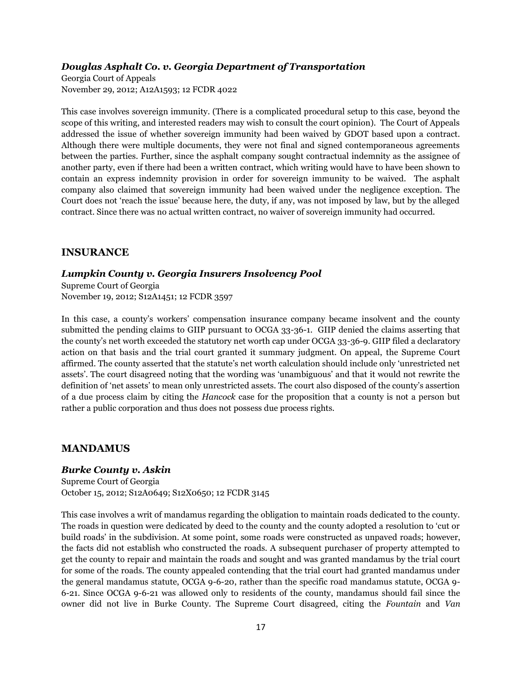# *Douglas Asphalt Co. v. Georgia Department of Transportation*

Georgia Court of Appeals November 29, 2012; A12A1593; 12 FCDR 4022

This case involves sovereign immunity. (There is a complicated procedural setup to this case, beyond the scope of this writing, and interested readers may wish to consult the court opinion). The Court of Appeals addressed the issue of whether sovereign immunity had been waived by GDOT based upon a contract. Although there were multiple documents, they were not final and signed contemporaneous agreements between the parties. Further, since the asphalt company sought contractual indemnity as the assignee of another party, even if there had been a written contract, which writing would have to have been shown to contain an express indemnity provision in order for sovereign immunity to be waived. The asphalt company also claimed that sovereign immunity had been waived under the negligence exception. The Court does not "reach the issue" because here, the duty, if any, was not imposed by law, but by the alleged contract. Since there was no actual written contract, no waiver of sovereign immunity had occurred.

#### **INSURANCE**

#### *Lumpkin County v. Georgia Insurers Insolvency Pool*

Supreme Court of Georgia November 19, 2012; S12A1451; 12 FCDR 3597

In this case, a county's workers' compensation insurance company became insolvent and the county submitted the pending claims to GIIP pursuant to OCGA 33-36-1. GIIP denied the claims asserting that the county's net worth exceeded the statutory net worth cap under OCGA 33-36-9. GIIP filed a declaratory action on that basis and the trial court granted it summary judgment. On appeal, the Supreme Court affirmed. The county asserted that the statute"s net worth calculation should include only "unrestricted net assets'. The court disagreed noting that the wording was 'unambiguous' and that it would not rewrite the definition of 'net assets' to mean only unrestricted assets. The court also disposed of the county's assertion of a due process claim by citing the *Hancock* case for the proposition that a county is not a person but rather a public corporation and thus does not possess due process rights.

#### **MANDAMUS**

#### *Burke County v. Askin*

Supreme Court of Georgia October 15, 2012; S12A0649; S12X0650; 12 FCDR 3145

This case involves a writ of mandamus regarding the obligation to maintain roads dedicated to the county. The roads in question were dedicated by deed to the county and the county adopted a resolution to "cut or build roads" in the subdivision. At some point, some roads were constructed as unpaved roads; however, the facts did not establish who constructed the roads. A subsequent purchaser of property attempted to get the county to repair and maintain the roads and sought and was granted mandamus by the trial court for some of the roads. The county appealed contending that the trial court had granted mandamus under the general mandamus statute, OCGA 9-6-20, rather than the specific road mandamus statute, OCGA 9- 6-21. Since OCGA 9-6-21 was allowed only to residents of the county, mandamus should fail since the owner did not live in Burke County. The Supreme Court disagreed, citing the *Fountain* and *Van*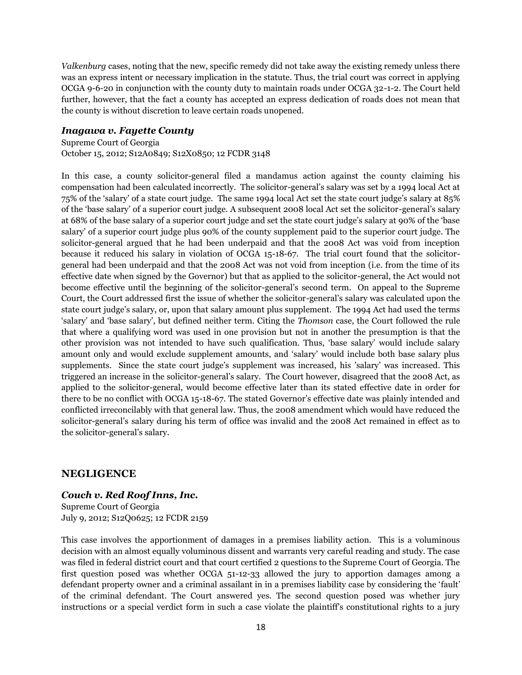*Valkenburg* cases, noting that the new, specific remedy did not take away the existing remedy unless there was an express intent or necessary implication in the statute. Thus, the trial court was correct in applying OCGA 9-6-20 in conjunction with the county duty to maintain roads under OCGA 32-1-2. The Court held further, however, that the fact a county has accepted an express dedication of roads does not mean that the county is without discretion to leave certain roads unopened.

#### *Inagawa v. Fayette County*

Supreme Court of Georgia

October 15, 2012; S12A0849; S12X0850; 12 FCDR 3148

In this case, a county solicitor-general filed a mandamus action against the county claiming his compensation had been calculated incorrectly. The solicitor-general"s salary was set by a 1994 local Act at 75% of the "salary" of a state court judge. The same 1994 local Act set the state court judge"s salary at 85% of the "base salary" of a superior court judge. A subsequent 2008 local Act set the solicitor-general"s salary at 68% of the base salary of a superior court judge and set the state court judge"s salary at 90% of the "base salary" of a superior court judge plus 90% of the county supplement paid to the superior court judge. The solicitor-general argued that he had been underpaid and that the 2008 Act was void from inception because it reduced his salary in violation of OCGA 15-18-67. The trial court found that the solicitorgeneral had been underpaid and that the 2008 Act was not void from inception (i.e. from the time of its effective date when signed by the Governor) but that as applied to the solicitor-general, the Act would not become effective until the beginning of the solicitor-general"s second term. On appeal to the Supreme Court, the Court addressed first the issue of whether the solicitor-general"s salary was calculated upon the state court judge's salary, or, upon that salary amount plus supplement. The 1994 Act had used the terms "salary" and "base salary", but defined neither term. Citing the *Thomson* case, the Court followed the rule that where a qualifying word was used in one provision but not in another the presumption is that the other provision was not intended to have such qualification. Thus, "base salary" would include salary amount only and would exclude supplement amounts, and "salary" would include both base salary plus supplements. Since the state court judge's supplement was increased, his 'salary' was increased. This triggered an increase in the solicitor-general"s salary. The Court however, disagreed that the 2008 Act, as applied to the solicitor-general, would become effective later than its stated effective date in order for there to be no conflict with OCGA 15-18-67. The stated Governor's effective date was plainly intended and conflicted irreconcilably with that general law. Thus, the 2008 amendment which would have reduced the solicitor-general"s salary during his term of office was invalid and the 2008 Act remained in effect as to the solicitor-general's salary.

#### **NEGLIGENCE**

#### *Couch v. Red Roof Inns, Inc.* Supreme Court of Georgia

July 9, 2012; S12Q0625; 12 FCDR 2159

This case involves the apportionment of damages in a premises liability action. This is a voluminous decision with an almost equally voluminous dissent and warrants very careful reading and study. The case was filed in federal district court and that court certified 2 questions to the Supreme Court of Georgia. The first question posed was whether OCGA 51-12-33 allowed the jury to apportion damages among a defendant property owner and a criminal assailant in in a premises liability case by considering the "fault" of the criminal defendant. The Court answered yes. The second question posed was whether jury instructions or a special verdict form in such a case violate the plaintiff's constitutional rights to a jury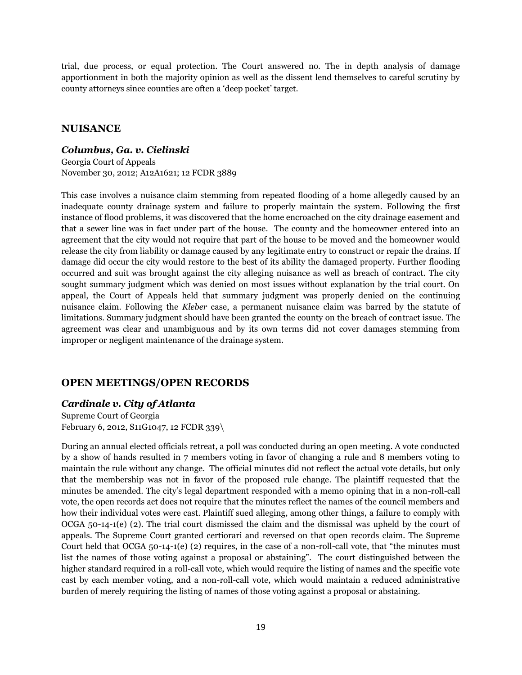trial, due process, or equal protection. The Court answered no. The in depth analysis of damage apportionment in both the majority opinion as well as the dissent lend themselves to careful scrutiny by county attorneys since counties are often a "deep pocket" target.

# **NUISANCE**

#### *Columbus, Ga. v. Cielinski*

Georgia Court of Appeals November 30, 2012; A12A1621; 12 FCDR 3889

This case involves a nuisance claim stemming from repeated flooding of a home allegedly caused by an inadequate county drainage system and failure to properly maintain the system. Following the first instance of flood problems, it was discovered that the home encroached on the city drainage easement and that a sewer line was in fact under part of the house. The county and the homeowner entered into an agreement that the city would not require that part of the house to be moved and the homeowner would release the city from liability or damage caused by any legitimate entry to construct or repair the drains. If damage did occur the city would restore to the best of its ability the damaged property. Further flooding occurred and suit was brought against the city alleging nuisance as well as breach of contract. The city sought summary judgment which was denied on most issues without explanation by the trial court. On appeal, the Court of Appeals held that summary judgment was properly denied on the continuing nuisance claim. Following the *Kleber* case, a permanent nuisance claim was barred by the statute of limitations. Summary judgment should have been granted the county on the breach of contract issue. The agreement was clear and unambiguous and by its own terms did not cover damages stemming from improper or negligent maintenance of the drainage system.

# **OPEN MEETINGS/OPEN RECORDS**

# *Cardinale v. City of Atlanta*

Supreme Court of Georgia February 6, 2012, S11G1047, 12 FCDR 339\

During an annual elected officials retreat, a poll was conducted during an open meeting. A vote conducted by a show of hands resulted in 7 members voting in favor of changing a rule and 8 members voting to maintain the rule without any change. The official minutes did not reflect the actual vote details, but only that the membership was not in favor of the proposed rule change. The plaintiff requested that the minutes be amended. The city"s legal department responded with a memo opining that in a non-roll-call vote, the open records act does not require that the minutes reflect the names of the council members and how their individual votes were cast. Plaintiff sued alleging, among other things, a failure to comply with OCGA 50-14-1(e) (2). The trial court dismissed the claim and the dismissal was upheld by the court of appeals. The Supreme Court granted certiorari and reversed on that open records claim. The Supreme Court held that OCGA 50-14-1(e) (2) requires, in the case of a non-roll-call vote, that "the minutes must list the names of those voting against a proposal or abstaining". The court distinguished between the higher standard required in a roll-call vote, which would require the listing of names and the specific vote cast by each member voting, and a non-roll-call vote, which would maintain a reduced administrative burden of merely requiring the listing of names of those voting against a proposal or abstaining.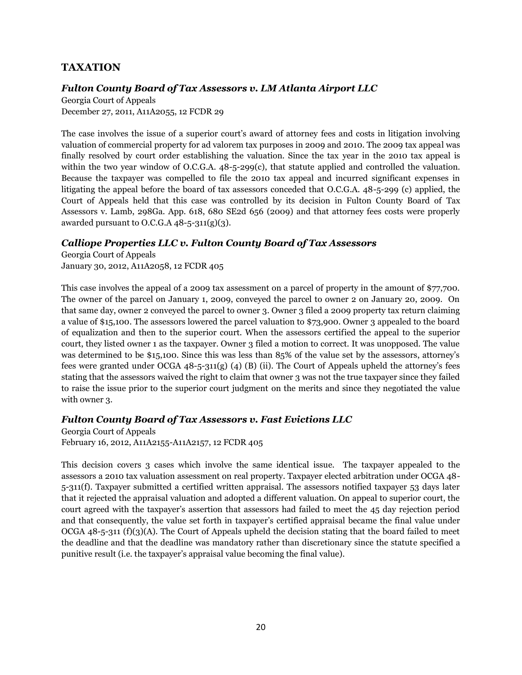# **TAXATION**

#### *Fulton County Board of Tax Assessors v. LM Atlanta Airport LLC*

Georgia Court of Appeals December 27, 2011, A11A2055, 12 FCDR 29

The case involves the issue of a superior court's award of attorney fees and costs in litigation involving valuation of commercial property for ad valorem tax purposes in 2009 and 2010. The 2009 tax appeal was finally resolved by court order establishing the valuation. Since the tax year in the 2010 tax appeal is within the two year window of O.C.G.A.  $48$ -5-299(c), that statute applied and controlled the valuation. Because the taxpayer was compelled to file the 2010 tax appeal and incurred significant expenses in litigating the appeal before the board of tax assessors conceded that O.C.G.A. 48-5-299 (c) applied, the Court of Appeals held that this case was controlled by its decision in Fulton County Board of Tax Assessors v. Lamb, 298Ga. App. 618, 680 SE2d 656 (2009) and that attorney fees costs were properly awarded pursuant to O.C.G.A  $48-5-311(g)(3)$ .

#### *Calliope Properties LLC v. Fulton County Board of Tax Assessors*

Georgia Court of Appeals January 30, 2012, A11A2058, 12 FCDR 405

This case involves the appeal of a 2009 tax assessment on a parcel of property in the amount of \$77,700. The owner of the parcel on January 1, 2009, conveyed the parcel to owner 2 on January 20, 2009. On that same day, owner 2 conveyed the parcel to owner 3. Owner 3 filed a 2009 property tax return claiming a value of \$15,100. The assessors lowered the parcel valuation to \$73,900. Owner 3 appealed to the board of equalization and then to the superior court. When the assessors certified the appeal to the superior court, they listed owner 1 as the taxpayer. Owner 3 filed a motion to correct. It was unopposed. The value was determined to be \$15,100. Since this was less than 85% of the value set by the assessors, attorney's fees were granted under OCGA 48-5-311(g) (4) (B) (ii). The Court of Appeals upheld the attorney's fees stating that the assessors waived the right to claim that owner 3 was not the true taxpayer since they failed to raise the issue prior to the superior court judgment on the merits and since they negotiated the value with owner 3.

# *Fulton County Board of Tax Assessors v. Fast Evictions LLC*

Georgia Court of Appeals February 16, 2012, A11A2155-A11A2157, 12 FCDR 405

This decision covers 3 cases which involve the same identical issue. The taxpayer appealed to the assessors a 2010 tax valuation assessment on real property. Taxpayer elected arbitration under OCGA 48- 5-311(f). Taxpayer submitted a certified written appraisal. The assessors notified taxpayer 53 days later that it rejected the appraisal valuation and adopted a different valuation. On appeal to superior court, the court agreed with the taxpayer"s assertion that assessors had failed to meet the 45 day rejection period and that consequently, the value set forth in taxpayer's certified appraisal became the final value under OCGA 48-5-311 (f)(3)(A). The Court of Appeals upheld the decision stating that the board failed to meet the deadline and that the deadline was mandatory rather than discretionary since the statute specified a punitive result (i.e. the taxpayer"s appraisal value becoming the final value).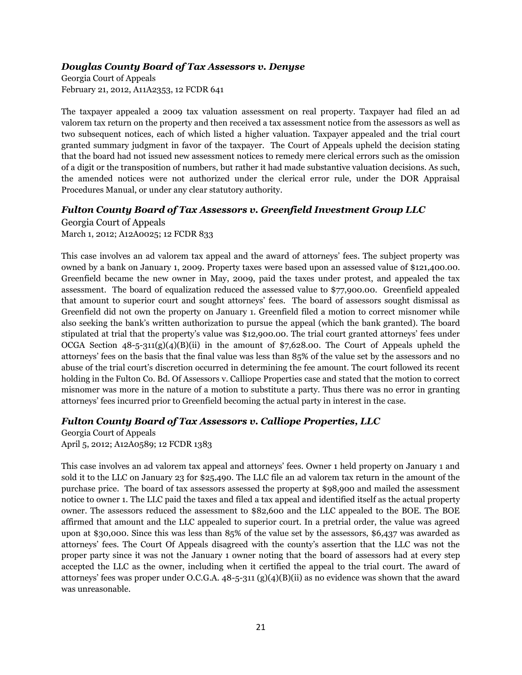#### *Douglas County Board of Tax Assessors v. Denyse*

Georgia Court of Appeals February 21, 2012, A11A2353, 12 FCDR 641

The taxpayer appealed a 2009 tax valuation assessment on real property. Taxpayer had filed an ad valorem tax return on the property and then received a tax assessment notice from the assessors as well as two subsequent notices, each of which listed a higher valuation. Taxpayer appealed and the trial court granted summary judgment in favor of the taxpayer. The Court of Appeals upheld the decision stating that the board had not issued new assessment notices to remedy mere clerical errors such as the omission of a digit or the transposition of numbers, but rather it had made substantive valuation decisions. As such, the amended notices were not authorized under the clerical error rule, under the DOR Appraisal Procedures Manual, or under any clear statutory authority.

#### *Fulton County Board of Tax Assessors v. Greenfield Investment Group LLC*

Georgia Court of Appeals March 1, 2012; A12A0025; 12 FCDR 833

This case involves an ad valorem tax appeal and the award of attorneys" fees. The subject property was owned by a bank on January 1, 2009. Property taxes were based upon an assessed value of \$121,400.00. Greenfield became the new owner in May, 2009, paid the taxes under protest, and appealed the tax assessment. The board of equalization reduced the assessed value to \$77,900.00. Greenfield appealed that amount to superior court and sought attorneys" fees. The board of assessors sought dismissal as Greenfield did not own the property on January 1. Greenfield filed a motion to correct misnomer while also seeking the bank's written authorization to pursue the appeal (which the bank granted). The board stipulated at trial that the property's value was \$12,900.00. The trial court granted attorneys' fees under OCGA Section  $48-5-311(g)(4)(B)(ii)$  in the amount of \$7,628.00. The Court of Appeals upheld the attorneys" fees on the basis that the final value was less than 85% of the value set by the assessors and no abuse of the trial court's discretion occurred in determining the fee amount. The court followed its recent holding in the Fulton Co. Bd. Of Assessors v. Calliope Properties case and stated that the motion to correct misnomer was more in the nature of a motion to substitute a party. Thus there was no error in granting attorneys" fees incurred prior to Greenfield becoming the actual party in interest in the case.

#### *Fulton County Board of Tax Assessors v. Calliope Properties, LLC*

Georgia Court of Appeals April 5, 2012; A12A0589; 12 FCDR 1383

This case involves an ad valorem tax appeal and attorneys" fees. Owner 1 held property on January 1 and sold it to the LLC on January 23 for \$25,490. The LLC file an ad valorem tax return in the amount of the purchase price. The board of tax assessors assessed the property at \$98,900 and mailed the assessment notice to owner 1. The LLC paid the taxes and filed a tax appeal and identified itself as the actual property owner. The assessors reduced the assessment to \$82,600 and the LLC appealed to the BOE. The BOE affirmed that amount and the LLC appealed to superior court. In a pretrial order, the value was agreed upon at \$30,000. Since this was less than 85% of the value set by the assessors, \$6,437 was awarded as attorneys' fees. The Court Of Appeals disagreed with the county's assertion that the LLC was not the proper party since it was not the January 1 owner noting that the board of assessors had at every step accepted the LLC as the owner, including when it certified the appeal to the trial court. The award of attorneys" fees was proper under O.C.G.A. 48-5-311 (g)(4)(B)(ii) as no evidence was shown that the award was unreasonable.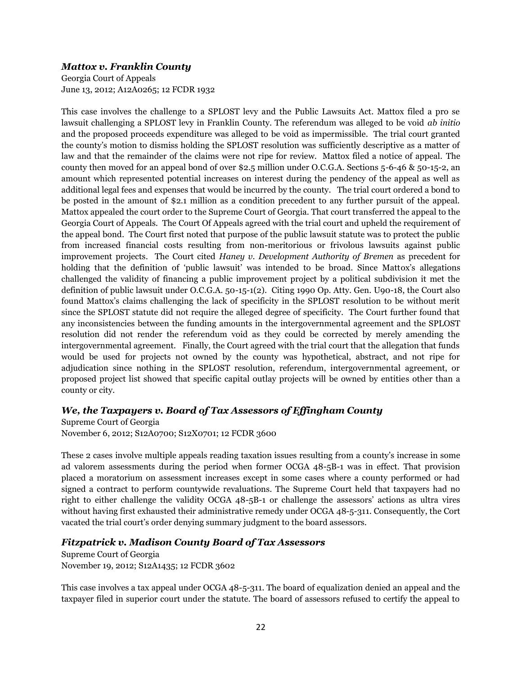#### *Mattox v. Franklin County*

Georgia Court of Appeals June 13, 2012; A12A0265; 12 FCDR 1932

This case involves the challenge to a SPLOST levy and the Public Lawsuits Act. Mattox filed a pro se lawsuit challenging a SPLOST levy in Franklin County. The referendum was alleged to be void *ab initio* and the proposed proceeds expenditure was alleged to be void as impermissible. The trial court granted the county"s motion to dismiss holding the SPLOST resolution was sufficiently descriptive as a matter of law and that the remainder of the claims were not ripe for review. Mattox filed a notice of appeal. The county then moved for an appeal bond of over \$2.5 million under O.C.G.A. Sections 5-6-46 & 50-15-2, an amount which represented potential increases on interest during the pendency of the appeal as well as additional legal fees and expenses that would be incurred by the county. The trial court ordered a bond to be posted in the amount of \$2.1 million as a condition precedent to any further pursuit of the appeal. Mattox appealed the court order to the Supreme Court of Georgia. That court transferred the appeal to the Georgia Court of Appeals. The Court Of Appeals agreed with the trial court and upheld the requirement of the appeal bond. The Court first noted that purpose of the public lawsuit statute was to protect the public from increased financial costs resulting from non-meritorious or frivolous lawsuits against public improvement projects. The Court cited *Haney v. Development Authority of Bremen* as precedent for holding that the definition of 'public lawsuit' was intended to be broad. Since Mattox's allegations challenged the validity of financing a public improvement project by a political subdivision it met the definition of public lawsuit under O.C.G.A. 50-15-1(2). Citing 1990 Op. Atty. Gen. U90-18, the Court also found Mattox"s claims challenging the lack of specificity in the SPLOST resolution to be without merit since the SPLOST statute did not require the alleged degree of specificity. The Court further found that any inconsistencies between the funding amounts in the intergovernmental agreement and the SPLOST resolution did not render the referendum void as they could be corrected by merely amending the intergovernmental agreement. Finally, the Court agreed with the trial court that the allegation that funds would be used for projects not owned by the county was hypothetical, abstract, and not ripe for adjudication since nothing in the SPLOST resolution, referendum, intergovernmental agreement, or proposed project list showed that specific capital outlay projects will be owned by entities other than a county or city.

# *We, the Taxpayers v. Board of Tax Assessors of Effingham County*

Supreme Court of Georgia November 6, 2012; S12A0700; S12X0701; 12 FCDR 3600

These 2 cases involve multiple appeals reading taxation issues resulting from a county"s increase in some ad valorem assessments during the period when former OCGA 48-5B-1 was in effect. That provision placed a moratorium on assessment increases except in some cases where a county performed or had signed a contract to perform countywide revaluations. The Supreme Court held that taxpayers had no right to either challenge the validity OCGA 48-5B-1 or challenge the assessors" actions as ultra vires without having first exhausted their administrative remedy under OCGA 48-5-311. Consequently, the Cort vacated the trial court"s order denying summary judgment to the board assessors.

# *Fitzpatrick v. Madison County Board of Tax Assessors*

Supreme Court of Georgia November 19, 2012; S12A1435; 12 FCDR 3602

This case involves a tax appeal under OCGA 48-5-311. The board of equalization denied an appeal and the taxpayer filed in superior court under the statute. The board of assessors refused to certify the appeal to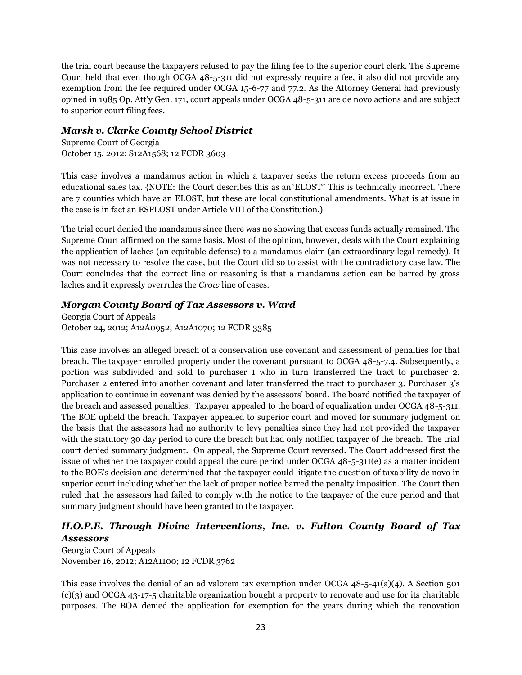the trial court because the taxpayers refused to pay the filing fee to the superior court clerk. The Supreme Court held that even though OCGA 48-5-311 did not expressly require a fee, it also did not provide any exemption from the fee required under OCGA 15-6-77 and 77.2. As the Attorney General had previously opined in 1985 Op. Att"y Gen. 171, court appeals under OCGA 48-5-311 are de novo actions and are subject to superior court filing fees.

# *Marsh v. Clarke County School District*

Supreme Court of Georgia October 15, 2012; S12A1568; 12 FCDR 3603

This case involves a mandamus action in which a taxpayer seeks the return excess proceeds from an educational sales tax. {NOTE: the Court describes this as an"ELOST" This is technically incorrect. There are 7 counties which have an ELOST, but these are local constitutional amendments. What is at issue in the case is in fact an ESPLOST under Article VIII of the Constitution.}

The trial court denied the mandamus since there was no showing that excess funds actually remained. The Supreme Court affirmed on the same basis. Most of the opinion, however, deals with the Court explaining the application of laches (an equitable defense) to a mandamus claim (an extraordinary legal remedy). It was not necessary to resolve the case, but the Court did so to assist with the contradictory case law. The Court concludes that the correct line or reasoning is that a mandamus action can be barred by gross laches and it expressly overrules the *Crow* line of cases.

# *Morgan County Board of Tax Assessors v. Ward*

Georgia Court of Appeals October 24, 2012; A12A0952; A12A1070; 12 FCDR 3385

This case involves an alleged breach of a conservation use covenant and assessment of penalties for that breach. The taxpayer enrolled property under the covenant pursuant to OCGA 48-5-7.4. Subsequently, a portion was subdivided and sold to purchaser 1 who in turn transferred the tract to purchaser 2. Purchaser 2 entered into another covenant and later transferred the tract to purchaser 3. Purchaser 3's application to continue in covenant was denied by the assessors" board. The board notified the taxpayer of the breach and assessed penalties. Taxpayer appealed to the board of equalization under OCGA 48-5-311. The BOE upheld the breach. Taxpayer appealed to superior court and moved for summary judgment on the basis that the assessors had no authority to levy penalties since they had not provided the taxpayer with the statutory 30 day period to cure the breach but had only notified taxpayer of the breach. The trial court denied summary judgment. On appeal, the Supreme Court reversed. The Court addressed first the issue of whether the taxpayer could appeal the cure period under OCGA 48-5-311(e) as a matter incident to the BOE"s decision and determined that the taxpayer could litigate the question of taxability de novo in superior court including whether the lack of proper notice barred the penalty imposition. The Court then ruled that the assessors had failed to comply with the notice to the taxpayer of the cure period and that summary judgment should have been granted to the taxpayer.

# *H.O.P.E. Through Divine Interventions, Inc. v. Fulton County Board of Tax Assessors*

Georgia Court of Appeals November 16, 2012; A12A1100; 12 FCDR 3762

This case involves the denial of an ad valorem tax exemption under OCGA  $48$ -5-41(a)(4). A Section 501 (c)(3) and OCGA 43-17-5 charitable organization bought a property to renovate and use for its charitable purposes. The BOA denied the application for exemption for the years during which the renovation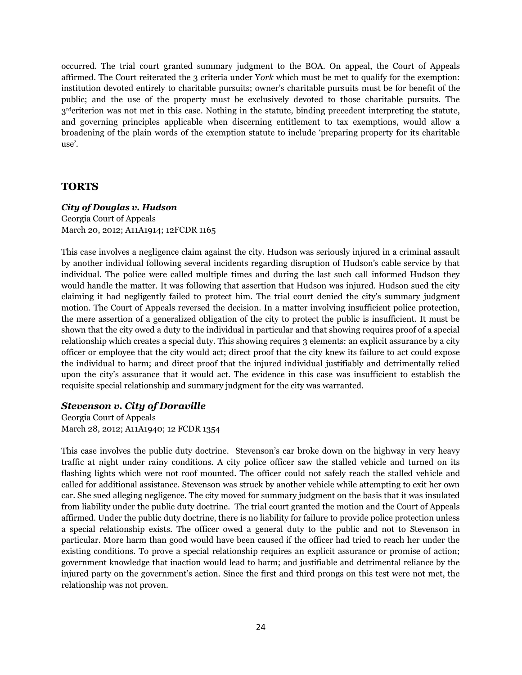occurred. The trial court granted summary judgment to the BOA. On appeal, the Court of Appeals affirmed. The Court reiterated the 3 criteria under Y*ork* which must be met to qualify for the exemption: institution devoted entirely to charitable pursuits; owner's charitable pursuits must be for benefit of the public; and the use of the property must be exclusively devoted to those charitable pursuits. The  $3<sup>rd</sup>$ criterion was not met in this case. Nothing in the statute, binding precedent interpreting the statute, and governing principles applicable when discerning entitlement to tax exemptions, would allow a broadening of the plain words of the exemption statute to include "preparing property for its charitable use'.

#### **TORTS**

#### *City of Douglas v. Hudson*

Georgia Court of Appeals March 20, 2012; A11A1914; 12FCDR 1165

This case involves a negligence claim against the city. Hudson was seriously injured in a criminal assault by another individual following several incidents regarding disruption of Hudson"s cable service by that individual. The police were called multiple times and during the last such call informed Hudson they would handle the matter. It was following that assertion that Hudson was injured. Hudson sued the city claiming it had negligently failed to protect him. The trial court denied the city"s summary judgment motion. The Court of Appeals reversed the decision. In a matter involving insufficient police protection, the mere assertion of a generalized obligation of the city to protect the public is insufficient. It must be shown that the city owed a duty to the individual in particular and that showing requires proof of a special relationship which creates a special duty. This showing requires 3 elements: an explicit assurance by a city officer or employee that the city would act; direct proof that the city knew its failure to act could expose the individual to harm; and direct proof that the injured individual justifiably and detrimentally relied upon the city"s assurance that it would act. The evidence in this case was insufficient to establish the requisite special relationship and summary judgment for the city was warranted.

#### *Stevenson v. City of Doraville*

Georgia Court of Appeals March 28, 2012; A11A1940; 12 FCDR 1354

This case involves the public duty doctrine. Stevenson's car broke down on the highway in very heavy traffic at night under rainy conditions. A city police officer saw the stalled vehicle and turned on its flashing lights which were not roof mounted. The officer could not safely reach the stalled vehicle and called for additional assistance. Stevenson was struck by another vehicle while attempting to exit her own car. She sued alleging negligence. The city moved for summary judgment on the basis that it was insulated from liability under the public duty doctrine. The trial court granted the motion and the Court of Appeals affirmed. Under the public duty doctrine, there is no liability for failure to provide police protection unless a special relationship exists. The officer owed a general duty to the public and not to Stevenson in particular. More harm than good would have been caused if the officer had tried to reach her under the existing conditions. To prove a special relationship requires an explicit assurance or promise of action; government knowledge that inaction would lead to harm; and justifiable and detrimental reliance by the injured party on the government"s action. Since the first and third prongs on this test were not met, the relationship was not proven.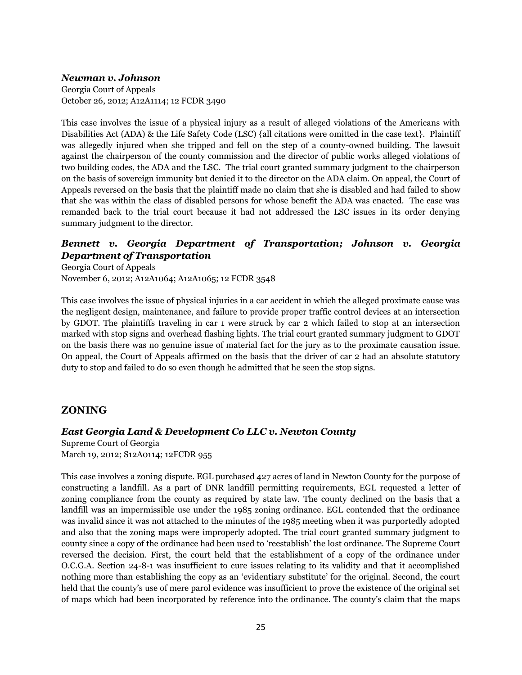#### *Newman v. Johnson*

Georgia Court of Appeals October 26, 2012; A12A1114; 12 FCDR 3490

This case involves the issue of a physical injury as a result of alleged violations of the Americans with Disabilities Act (ADA) & the Life Safety Code (LSC) {all citations were omitted in the case text}. Plaintiff was allegedly injured when she tripped and fell on the step of a county-owned building. The lawsuit against the chairperson of the county commission and the director of public works alleged violations of two building codes, the ADA and the LSC. The trial court granted summary judgment to the chairperson on the basis of sovereign immunity but denied it to the director on the ADA claim. On appeal, the Court of Appeals reversed on the basis that the plaintiff made no claim that she is disabled and had failed to show that she was within the class of disabled persons for whose benefit the ADA was enacted. The case was remanded back to the trial court because it had not addressed the LSC issues in its order denying summary judgment to the director.

# *Bennett v. Georgia Department of Transportation; Johnson v. Georgia Department of Transportation*

Georgia Court of Appeals November 6, 2012; A12A1064; A12A1065; 12 FCDR 3548

This case involves the issue of physical injuries in a car accident in which the alleged proximate cause was the negligent design, maintenance, and failure to provide proper traffic control devices at an intersection by GDOT. The plaintiffs traveling in car 1 were struck by car 2 which failed to stop at an intersection marked with stop signs and overhead flashing lights. The trial court granted summary judgment to GDOT on the basis there was no genuine issue of material fact for the jury as to the proximate causation issue. On appeal, the Court of Appeals affirmed on the basis that the driver of car 2 had an absolute statutory duty to stop and failed to do so even though he admitted that he seen the stop signs.

# **ZONING**

# *East Georgia Land & Development Co LLC v. Newton County*

Supreme Court of Georgia March 19, 2012; S12A0114; 12FCDR 955

This case involves a zoning dispute. EGL purchased 427 acres of land in Newton County for the purpose of constructing a landfill. As a part of DNR landfill permitting requirements, EGL requested a letter of zoning compliance from the county as required by state law. The county declined on the basis that a landfill was an impermissible use under the 1985 zoning ordinance. EGL contended that the ordinance was invalid since it was not attached to the minutes of the 1985 meeting when it was purportedly adopted and also that the zoning maps were improperly adopted. The trial court granted summary judgment to county since a copy of the ordinance had been used to "reestablish" the lost ordinance. The Supreme Court reversed the decision. First, the court held that the establishment of a copy of the ordinance under O.C.G.A. Section 24-8-1 was insufficient to cure issues relating to its validity and that it accomplished nothing more than establishing the copy as an "evidentiary substitute" for the original. Second, the court held that the county's use of mere parol evidence was insufficient to prove the existence of the original set of maps which had been incorporated by reference into the ordinance. The county"s claim that the maps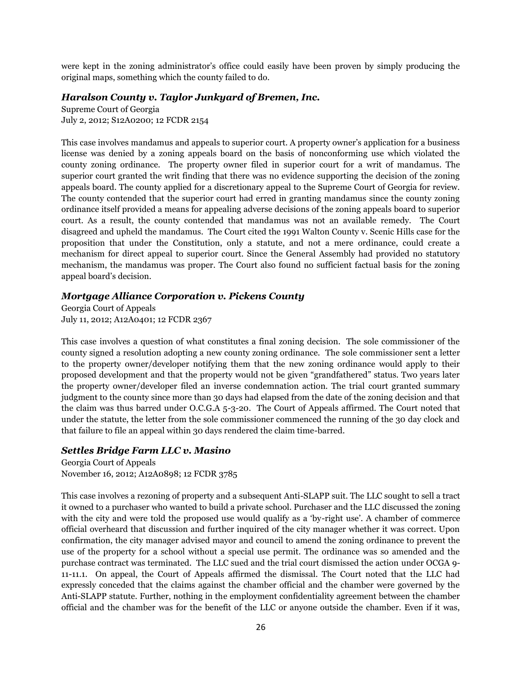were kept in the zoning administrator"s office could easily have been proven by simply producing the original maps, something which the county failed to do.

#### *Haralson County v. Taylor Junkyard of Bremen, Inc.*

Supreme Court of Georgia July 2, 2012; S12A0200; 12 FCDR 2154

This case involves mandamus and appeals to superior court. A property owner"s application for a business license was denied by a zoning appeals board on the basis of nonconforming use which violated the county zoning ordinance. The property owner filed in superior court for a writ of mandamus. The superior court granted the writ finding that there was no evidence supporting the decision of the zoning appeals board. The county applied for a discretionary appeal to the Supreme Court of Georgia for review. The county contended that the superior court had erred in granting mandamus since the county zoning ordinance itself provided a means for appealing adverse decisions of the zoning appeals board to superior court. As a result, the county contended that mandamus was not an available remedy. The Court disagreed and upheld the mandamus. The Court cited the 1991 Walton County v. Scenic Hills case for the proposition that under the Constitution, only a statute, and not a mere ordinance, could create a mechanism for direct appeal to superior court. Since the General Assembly had provided no statutory mechanism, the mandamus was proper. The Court also found no sufficient factual basis for the zoning appeal board"s decision.

# *Mortgage Alliance Corporation v. Pickens County*

Georgia Court of Appeals July 11, 2012; A12A0401; 12 FCDR 2367

This case involves a question of what constitutes a final zoning decision. The sole commissioner of the county signed a resolution adopting a new county zoning ordinance. The sole commissioner sent a letter to the property owner/developer notifying them that the new zoning ordinance would apply to their proposed development and that the property would not be given "grandfathered" status. Two years later the property owner/developer filed an inverse condemnation action. The trial court granted summary judgment to the county since more than 30 days had elapsed from the date of the zoning decision and that the claim was thus barred under O.C.G.A 5-3-20. The Court of Appeals affirmed. The Court noted that under the statute, the letter from the sole commissioner commenced the running of the 30 day clock and that failure to file an appeal within 30 days rendered the claim time-barred.

# *Settles Bridge Farm LLC v. Masino*

Georgia Court of Appeals November 16, 2012; A12A0898; 12 FCDR 3785

This case involves a rezoning of property and a subsequent Anti-SLAPP suit. The LLC sought to sell a tract it owned to a purchaser who wanted to build a private school. Purchaser and the LLC discussed the zoning with the city and were told the proposed use would qualify as a 'by-right use'. A chamber of commerce official overheard that discussion and further inquired of the city manager whether it was correct. Upon confirmation, the city manager advised mayor and council to amend the zoning ordinance to prevent the use of the property for a school without a special use permit. The ordinance was so amended and the purchase contract was terminated. The LLC sued and the trial court dismissed the action under OCGA 9- 11-11.1. On appeal, the Court of Appeals affirmed the dismissal. The Court noted that the LLC had expressly conceded that the claims against the chamber official and the chamber were governed by the Anti-SLAPP statute. Further, nothing in the employment confidentiality agreement between the chamber official and the chamber was for the benefit of the LLC or anyone outside the chamber. Even if it was,